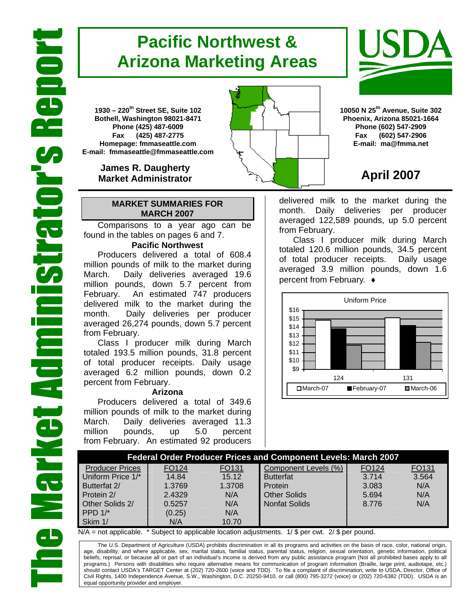# **Pacific Northwest & Arizona Marketing Areas**

**1930 – 220th Street SE, Suite 102 Bothell, Washington 98021-8471 Phone (425) 487-6009 Fax (425) 487-2775 Homepage: fmmaseattle.com E-mail: fmmaseattle@fmmaseattle.com**

> **James R. Daugherty Market Administrator**

### **MARKET SUMMARIES FOR MARCH 2007**

 Comparisons to a year ago can be found in the tables on pages 6 and 7.

### **Pacific Northwest**

Producers delivered a total of 608.4 million pounds of milk to the market during March. Daily deliveries averaged 19.6 million pounds, down 5.7 percent from February. An estimated 747 producers delivered milk to the market during the month. Daily deliveries per producer averaged 26,274 pounds, down 5.7 percent from February.

Class I producer milk during March totaled 193.5 million pounds, 31.8 percent of total producer receipts. Daily usage averaged 6.2 million pounds, down 0.2 percent from February.

#### **Arizona**

Producers delivered a total of 349.6 million pounds of milk to the market during March. Daily deliveries averaged 11.3 million pounds, up 5.0 percent from February. An estimated 92 producers

**10050 N 25th Avenue, Suite 302 Phoenix, Arizona 85021-1664 Phone (602) 547-2909 Fax (602) 547-2906 E-mail: ma@fmma.net**

## **April 2007**

delivered milk to the market during the month. Daily deliveries per producer averaged 122,589 pounds, up 5.0 percent from February.

Class I producer milk during March totaled 120.6 million pounds, 34.5 percent of total producer receipts. Daily usage averaged 3.9 million pounds, down 1.6 percent from February. ♦



|                        | <b>Federal Order Producer Prices and Component Levels: March 2007</b> |        |                      |       |       |  |  |  |  |  |  |  |  |  |  |
|------------------------|-----------------------------------------------------------------------|--------|----------------------|-------|-------|--|--|--|--|--|--|--|--|--|--|
| <b>Producer Prices</b> | FO124                                                                 | FO131  | Component Levels (%) | FO124 | FO131 |  |  |  |  |  |  |  |  |  |  |
| Uniform Price 1/*      | 14.84                                                                 | 15.12  | <b>Butterfat</b>     | 3.714 | 3.564 |  |  |  |  |  |  |  |  |  |  |
| Butterfat 2/           | 1.3769                                                                | 1.3708 | Protein              | 3.083 | N/A   |  |  |  |  |  |  |  |  |  |  |
| Protein 2/             | 2.4329                                                                | N/A    | <b>Other Solids</b>  | 5.694 | N/A   |  |  |  |  |  |  |  |  |  |  |
| Other Solids 2/        | 0.5257                                                                | N/A    | <b>Nonfat Solids</b> | 8.776 | N/A   |  |  |  |  |  |  |  |  |  |  |
| PPD $1$ <sup>*</sup>   | (0.25)                                                                | N/A    |                      |       |       |  |  |  |  |  |  |  |  |  |  |
| Skim 1/                | N/A                                                                   | 10.70  |                      |       |       |  |  |  |  |  |  |  |  |  |  |

 $N/A$  = not applicable. \* Subject to applicable location adjustments. 1/ \$ per cwt. 2/ \$ per pound.

The U.S. Department of Agriculture (USDA) prohibits discrimination in all its programs and activities on the basis of race, color, national origin, age, disability, and where applicable, sex, marital status, familial status, parental status, religion, sexual orientation, genetic information, political beliefs, reprisal, or because all or part of an individual's income is derived from any public assistance program (Not all prohibited bases apply to all programs.) Persons with disabilities who require alternative means for communication of program information (Braille, large print, audiotape, etc.) should contact USDA's TARGET Center at (202) 720-2600 (voice and TDD). To file a complaint of discrimination, write to USDA, Director, Office of Civil Rights, 1400 Independence Avenue, S.W., Washington, D.C. 20250-9410, or call (800) 795-3272 (voice) or (202) 720-6382 (TDD). USDA is an equal opportunity provider and employer.



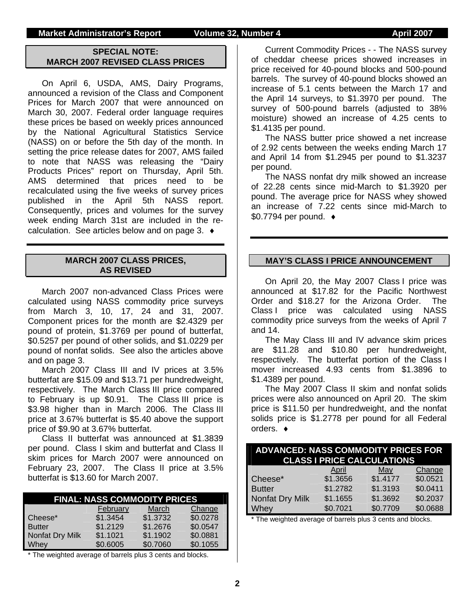### **Market Administrator's Report Volume 32, Number 4 April 2007**

### **SPECIAL NOTE: MARCH 2007 REVISED CLASS PRICES**

On April 6, USDA, AMS, Dairy Programs, announced a revision of the Class and Component Prices for March 2007 that were announced on March 30, 2007. Federal order language requires these prices be based on weekly prices announced by the National Agricultural Statistics Service (NASS) on or before the 5th day of the month. In setting the price release dates for 2007, AMS failed to note that NASS was releasing the "Dairy Products Prices" report on Thursday, April 5th. AMS determined that prices need to be recalculated using the five weeks of survey prices published in the April 5th NASS report. Consequently, prices and volumes for the survey week ending March 31st are included in the recalculation. See articles below and on page 3. ♦

#### **MARCH 2007 CLASS PRICES, AS REVISED**

March 2007 non-advanced Class Prices were calculated using NASS commodity price surveys from March 3, 10, 17, 24 and 31, 2007. Component prices for the month are \$2.4329 per pound of protein, \$1.3769 per pound of butterfat, \$0.5257 per pound of other solids, and \$1.0229 per pound of nonfat solids. See also the articles above and on page 3.

March 2007 Class III and IV prices at 3.5% butterfat are \$15.09 and \$13.71 per hundredweight, respectively. The March Class III price compared to February is up \$0.91. The Class III price is \$3.98 higher than in March 2006. The Class III price at 3.67% butterfat is \$5.40 above the support price of \$9.90 at 3.67% butterfat.

Class II butterfat was announced at \$1.3839 per pound. Class I skim and butterfat and Class II skim prices for March 2007 were announced on February 23, 2007. The Class II price at 3.5% butterfat is \$13.60 for March 2007.

|                 |          | <b>FINAL: NASS COMMODITY PRICES</b> |          |
|-----------------|----------|-------------------------------------|----------|
|                 | February | March                               | Change   |
| Cheese*         | \$1.3454 | \$1.3732                            | \$0.0278 |
| <b>Butter</b>   | \$1.2129 | \$1.2676                            | \$0.0547 |
| Nonfat Dry Milk | \$1.1021 | \$1.1902                            | \$0.0881 |
| Whey            | \$0.6005 | \$0.7060                            | \$0.1055 |

\* The weighted average of barrels plus 3 cents and blocks.

Current Commodity Prices - - The NASS survey of cheddar cheese prices showed increases in price received for 40-pound blocks and 500-pound barrels. The survey of 40-pound blocks showed an increase of 5.1 cents between the March 17 and the April 14 surveys, to \$1.3970 per pound. The survey of 500-pound barrels (adjusted to 38% moisture) showed an increase of 4.25 cents to \$1.4135 per pound.

The NASS butter price showed a net increase of 2.92 cents between the weeks ending March 17 and April 14 from \$1.2945 per pound to \$1.3237 per pound.

The NASS nonfat dry milk showed an increase of 22.28 cents since mid-March to \$1.3920 per pound. The average price for NASS whey showed an increase of 7.22 cents since mid-March to \$0.7794 per pound. ♦

#### **MAY'S CLASS I PRICE ANNOUNCEMENT**

On April 20, the May 2007 Class I price was announced at \$17.82 for the Pacific Northwest Order and \$18.27 for the Arizona Order. The Class I price was calculated using NASS commodity price surveys from the weeks of April 7 and 14.

The May Class III and IV advance skim prices are \$11.28 and \$10.80 per hundredweight, respectively. The butterfat portion of the Class I mover increased 4.93 cents from \$1.3896 to \$1.4389 per pound.

The May 2007 Class II skim and nonfat solids prices were also announced on April 20. The skim price is \$11.50 per hundredweight, and the nonfat solids price is \$1.2778 per pound for all Federal orders. ♦

| <b>ADVANCED: NASS COMMODITY PRICES FOR</b><br><b>CLASS I PRICE CALCULATIONS</b> |          |          |          |  |  |  |  |  |  |  |  |  |  |  |
|---------------------------------------------------------------------------------|----------|----------|----------|--|--|--|--|--|--|--|--|--|--|--|
|                                                                                 | April    | May      | Change   |  |  |  |  |  |  |  |  |  |  |  |
| Cheese*                                                                         | \$1.3656 | \$1.4177 | \$0.0521 |  |  |  |  |  |  |  |  |  |  |  |
| <b>Butter</b>                                                                   | \$1.2782 | \$1.3193 | \$0.0411 |  |  |  |  |  |  |  |  |  |  |  |
| Nonfat Dry Milk                                                                 | \$1.1655 | \$1.3692 | \$0.2037 |  |  |  |  |  |  |  |  |  |  |  |
| Whey                                                                            | \$0.7021 | \$0.7709 | \$0.0688 |  |  |  |  |  |  |  |  |  |  |  |

\* The weighted average of barrels plus 3 cents and blocks.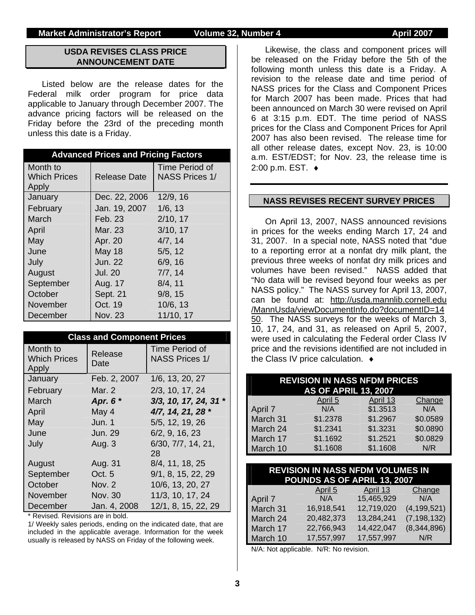#### **Market Administrator's Report Colume 32, Number 4 April 2007 April 2007**

### **USDA REVISES CLASS PRICE ANNOUNCEMENT DATE**

Listed below are the release dates for the Federal milk order program for price data applicable to January through December 2007. The advance pricing factors will be released on the Friday before the 23rd of the preceding month unless this date is a Friday.

|                     | <b>Advanced Prices and Pricing Factors</b> |                       |  |  |  |  |  |  |  |  |  |  |  |  |
|---------------------|--------------------------------------------|-----------------------|--|--|--|--|--|--|--|--|--|--|--|--|
| Month to            |                                            | Time Period of        |  |  |  |  |  |  |  |  |  |  |  |  |
| <b>Which Prices</b> | Release Date                               | <b>NASS Prices 1/</b> |  |  |  |  |  |  |  |  |  |  |  |  |
| Apply               |                                            |                       |  |  |  |  |  |  |  |  |  |  |  |  |
| January             | Dec. 22, 2006                              | 12/9, 16              |  |  |  |  |  |  |  |  |  |  |  |  |
| February            | Jan. 19, 2007                              | 1/6, 13               |  |  |  |  |  |  |  |  |  |  |  |  |
| March               | Feb. 23                                    | 2/10, 17              |  |  |  |  |  |  |  |  |  |  |  |  |
| April               | Mar. 23                                    | 3/10, 17              |  |  |  |  |  |  |  |  |  |  |  |  |
| May                 | Apr. 20                                    | 4/7, 14               |  |  |  |  |  |  |  |  |  |  |  |  |
| June                | <b>May 18</b>                              | 5/5, 12               |  |  |  |  |  |  |  |  |  |  |  |  |
| July                | <b>Jun. 22</b>                             | 6/9, 16               |  |  |  |  |  |  |  |  |  |  |  |  |
| August              | <b>Jul. 20</b>                             | 7/7, 14               |  |  |  |  |  |  |  |  |  |  |  |  |
| September           | Aug. 17                                    | 8/4, 11               |  |  |  |  |  |  |  |  |  |  |  |  |
| October             | Sept. 21                                   | 9/8, 15               |  |  |  |  |  |  |  |  |  |  |  |  |
| November            | Oct. 19                                    | 10/6, 13              |  |  |  |  |  |  |  |  |  |  |  |  |
| December            | <b>Nov. 23</b>                             | 11/10, 17             |  |  |  |  |  |  |  |  |  |  |  |  |

|                                          | <b>Class and Component Prices</b> |                                         |  |  |  |  |  |  |  |  |  |  |  |  |
|------------------------------------------|-----------------------------------|-----------------------------------------|--|--|--|--|--|--|--|--|--|--|--|--|
| Month to<br><b>Which Prices</b><br>Apply | Release<br>Date                   | Time Period of<br><b>NASS Prices 1/</b> |  |  |  |  |  |  |  |  |  |  |  |  |
| January                                  | Feb. 2, 2007                      | 1/6, 13, 20, 27                         |  |  |  |  |  |  |  |  |  |  |  |  |
| February                                 | Mar. 2                            | 2/3, 10, 17, 24                         |  |  |  |  |  |  |  |  |  |  |  |  |
| March                                    | Apr. 6 *                          | $3/3$ , 10, 17, 24, 31 *                |  |  |  |  |  |  |  |  |  |  |  |  |
| April                                    | May 4                             | 4/7, 14, 21, 28 *                       |  |  |  |  |  |  |  |  |  |  |  |  |
| May                                      | Jun. 1                            | 5/5, 12, 19, 26                         |  |  |  |  |  |  |  |  |  |  |  |  |
| June                                     | Jun. 29                           | 6/2, 9, 16, 23                          |  |  |  |  |  |  |  |  |  |  |  |  |
| July                                     | Aug. 3                            | 6/30, 7/7, 14, 21,<br>28                |  |  |  |  |  |  |  |  |  |  |  |  |
| August                                   | Aug. 31                           | 8/4, 11, 18, 25                         |  |  |  |  |  |  |  |  |  |  |  |  |
| September                                | Oct. 5                            | 9/1, 8, 15, 22, 29                      |  |  |  |  |  |  |  |  |  |  |  |  |
| October                                  | Nov. 2                            | 10/6, 13, 20, 27                        |  |  |  |  |  |  |  |  |  |  |  |  |
| November                                 | Nov. 30                           | 11/3, 10, 17, 24                        |  |  |  |  |  |  |  |  |  |  |  |  |
| December                                 | Jan. 4, 2008                      | 12/1, 8, 15, 22, 29                     |  |  |  |  |  |  |  |  |  |  |  |  |

\* Revised. Revisions are in bold.

1/ Weekly sales periods, ending on the indicated date, that are included in the applicable average. Information for the week usually is released by NASS on Friday of the following week.

Likewise, the class and component prices will be released on the Friday before the 5th of the following month unless this date is a Friday. A revision to the release date and time period of NASS prices for the Class and Component Prices for March 2007 has been made. Prices that had been announced on March 30 were revised on April 6 at 3:15 p.m. EDT. The time period of NASS prices for the Class and Component Prices for April 2007 has also been revised. The release time for all other release dates, except Nov. 23, is 10:00 a.m. EST/EDST; for Nov. 23, the release time is 2:00 p.m. EST. ♦

#### **NASS REVISES RECENT SURVEY PRICES**

On April 13, 2007, NASS announced revisions in prices for the weeks ending March 17, 24 and 31, 2007. In a special note, NASS noted that "due to a reporting error at a nonfat dry milk plant, the previous three weeks of nonfat dry milk prices and volumes have been revised." NASS added that "No data will be revised beyond four weeks as per NASS policy." The NASS survey for April 13, 2007, can be found at: http://usda.mannlib.cornell.edu /MannUsda/viewDocumentInfo.do?documentID=14 50. The NASS surveys for the weeks of March 3, 10, 17, 24, and 31, as released on April 5, 2007, were used in calculating the Federal order Class IV price and the revisions identified are not included in the Class IV price calculation. ♦

| <b>REVISION IN NASS NFDM PRICES</b> |          |          |          |  |  |  |  |  |  |  |  |  |  |  |
|-------------------------------------|----------|----------|----------|--|--|--|--|--|--|--|--|--|--|--|
| <b>AS OF APRIL 13, 2007</b>         |          |          |          |  |  |  |  |  |  |  |  |  |  |  |
|                                     | April 5  | April 13 | Change   |  |  |  |  |  |  |  |  |  |  |  |
| April 7                             | N/A      | \$1.3513 | N/A      |  |  |  |  |  |  |  |  |  |  |  |
| March 31                            | \$1.2378 | \$1.2967 | \$0.0589 |  |  |  |  |  |  |  |  |  |  |  |
| March 24                            | \$1.2341 | \$1.3231 | \$0.0890 |  |  |  |  |  |  |  |  |  |  |  |
| March 17                            | \$1.1692 | \$1.2521 | \$0.0829 |  |  |  |  |  |  |  |  |  |  |  |
| March 10                            | \$1.1608 | \$1.1608 | N/R      |  |  |  |  |  |  |  |  |  |  |  |

| <b>REVISION IN NASS NFDM VOLUMES IN</b><br>POUNDS AS OF APRIL 13, 2007 |            |            |               |  |  |  |  |  |  |  |  |  |  |  |
|------------------------------------------------------------------------|------------|------------|---------------|--|--|--|--|--|--|--|--|--|--|--|
|                                                                        | April 5    | April 13   | Change        |  |  |  |  |  |  |  |  |  |  |  |
| April 7                                                                | N/A        | 15,465,929 | N/A           |  |  |  |  |  |  |  |  |  |  |  |
| March 31                                                               | 16,918,541 | 12,719,020 | (4, 199, 521) |  |  |  |  |  |  |  |  |  |  |  |
| March 24                                                               | 20,482,373 | 13,284,241 | (7, 198, 132) |  |  |  |  |  |  |  |  |  |  |  |
| March 17                                                               | 22,766,943 | 14,422,047 | (8,344,896)   |  |  |  |  |  |  |  |  |  |  |  |
| March 10                                                               | 17,557,997 | 17,557,997 | N/R           |  |  |  |  |  |  |  |  |  |  |  |

N/A: Not applicable. N/R: No revision.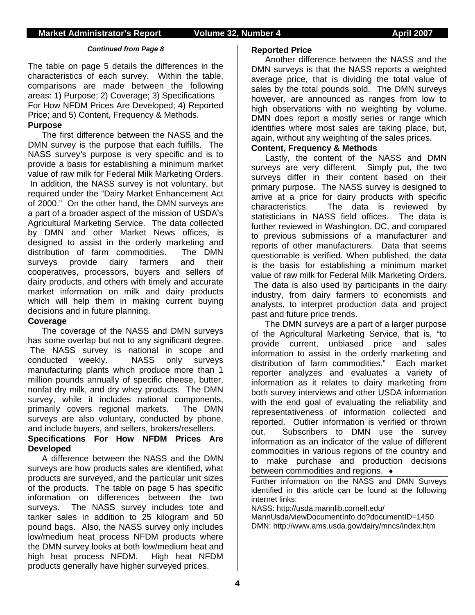#### *Continued from Page 8*

The table on page 5 details the differences in the characteristics of each survey. Within the table, comparisons are made between the following areas: 1) Purpose; 2) Coverage; 3) Specifications For How NFDM Prices Are Developed; 4) Reported Price; and 5) Content, Frequency & Methods. **Purpose**

The first difference between the NASS and the DMN survey is the purpose that each fulfills. The NASS survey's purpose is very specific and is to provide a basis for establishing a minimum market value of raw milk for Federal Milk Marketing Orders. In addition, the NASS survey is not voluntary, but required under the "Dairy Market Enhancement Act of 2000." On the other hand, the DMN surveys are a part of a broader aspect of the mission of USDA's Agricultural Marketing Service. The data collected by DMN and other Market News offices, is designed to assist in the orderly marketing and distribution of farm commodities. The DMN surveys provide dairy farmers and their cooperatives, processors, buyers and sellers of dairy products, and others with timely and accurate market information on milk and dairy products which will help them in making current buying decisions and in future planning.

#### **Coverage**

The coverage of the NASS and DMN surveys has some overlap but not to any significant degree. The NASS survey is national in scope and conducted weekly. NASS only surveys manufacturing plants which produce more than 1 million pounds annually of specific cheese, butter, nonfat dry milk, and dry whey products. The DMN survey, while it includes national components, primarily covers regional markets. The DMN surveys are also voluntary, conducted by phone, and include buyers, and sellers, brokers/resellers.

### **Specifications For How NFDM Prices Are Developed**

A difference between the NASS and the DMN surveys are how products sales are identified, what products are surveyed, and the particular unit sizes of the products. The table on page 5 has specific information on differences between the two surveys. The NASS survey includes tote and tanker sales in addition to 25 kilogram and 50 pound bags. Also, the NASS survey only includes low/medium heat process NFDM products where the DMN survey looks at both low/medium heat and high heat process NFDM. High heat NFDM products generally have higher surveyed prices.

#### **Reported Price**

 Another difference between the NASS and the DMN surveys is that the NASS reports a weighted average price, that is dividing the total value of sales by the total pounds sold. The DMN surveys however, are announced as ranges from low to high observations with no weighting by volume. DMN does report a mostly series or range which identifies where most sales are taking place, but, again, without any weighting of the sales prices.

### **Content, Frequency & Methods**

Lastly, the content of the NASS and DMN surveys are very different. Simply put, the two surveys differ in their content based on their primary purpose. The NASS survey is designed to arrive at a price for dairy products with specific characteristics. The data is reviewed by statisticians in NASS field offices. The data is further reviewed in Washington, DC, and compared to previous submissions of a manufacturer and reports of other manufacturers. Data that seems questionable is verified. When published, the data is the basis for establishing a minimum market value of raw milk for Federal Milk Marketing Orders. The data is also used by participants in the dairy industry, from dairy farmers to economists and analysts, to interpret production data and project past and future price trends.

 The DMN surveys are a part of a larger purpose of the Agricultural Marketing Service, that is, "to provide current, unbiased price and sales information to assist in the orderly marketing and distribution of farm commodities." Each market reporter analyzes and evaluates a variety of information as it relates to dairy marketing from both survey interviews and other USDA information with the end goal of evaluating the reliability and representativeness of information collected and reported. Outlier information is verified or thrown out. Subscribers to DMN use the survey information as an indicator of the value of different commodities in various regions of the country and to make purchase and production decisions between commodities and regions. ♦

Further information on the NASS and DMN Surveys identified in this article can be found at the following internet links:

NASS: http://usda.mannlib.cornell.edu/

MannUsda/viewDocumentInfo.do?documentID=1450 DMN: http://www.ams.usda.gov/dairy/mncs/index.htm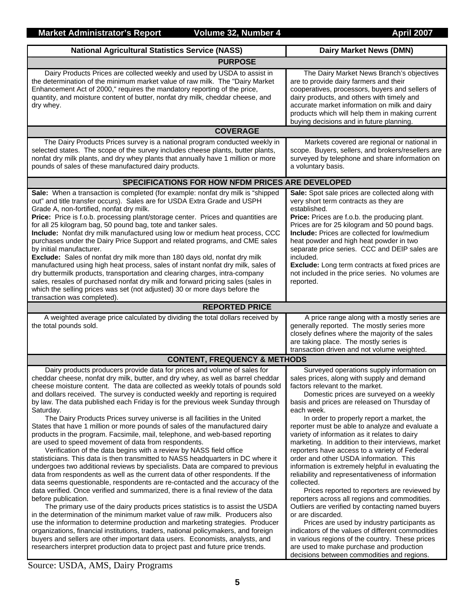| <b>National Agricultural Statistics Service (NASS)</b>                                                                                                                                                                                                                                                                                                                                                                                                                                                                                                                                                                                                                                                                                                                                                                                                                                                                                                                                                                                                                                                                                                                                                                                                                                                                                                                                                                                                                                                                                                                                                                                                                                                                                                                     | <b>Dairy Market News (DMN)</b>                                                                                                                                                                                                                                                                                                                                                                                                                                                                                                                                                                                                                                                                                                                                                                                                                                                                                                                                                                                                                                                             |
|----------------------------------------------------------------------------------------------------------------------------------------------------------------------------------------------------------------------------------------------------------------------------------------------------------------------------------------------------------------------------------------------------------------------------------------------------------------------------------------------------------------------------------------------------------------------------------------------------------------------------------------------------------------------------------------------------------------------------------------------------------------------------------------------------------------------------------------------------------------------------------------------------------------------------------------------------------------------------------------------------------------------------------------------------------------------------------------------------------------------------------------------------------------------------------------------------------------------------------------------------------------------------------------------------------------------------------------------------------------------------------------------------------------------------------------------------------------------------------------------------------------------------------------------------------------------------------------------------------------------------------------------------------------------------------------------------------------------------------------------------------------------------|--------------------------------------------------------------------------------------------------------------------------------------------------------------------------------------------------------------------------------------------------------------------------------------------------------------------------------------------------------------------------------------------------------------------------------------------------------------------------------------------------------------------------------------------------------------------------------------------------------------------------------------------------------------------------------------------------------------------------------------------------------------------------------------------------------------------------------------------------------------------------------------------------------------------------------------------------------------------------------------------------------------------------------------------------------------------------------------------|
| <b>PURPOSE</b>                                                                                                                                                                                                                                                                                                                                                                                                                                                                                                                                                                                                                                                                                                                                                                                                                                                                                                                                                                                                                                                                                                                                                                                                                                                                                                                                                                                                                                                                                                                                                                                                                                                                                                                                                             |                                                                                                                                                                                                                                                                                                                                                                                                                                                                                                                                                                                                                                                                                                                                                                                                                                                                                                                                                                                                                                                                                            |
| Dairy Products Prices are collected weekly and used by USDA to assist in<br>the determination of the minimum market value of raw milk. The "Dairy Market<br>Enhancement Act of 2000," requires the mandatory reporting of the price,<br>quantity, and moisture content of butter, nonfat dry milk, cheddar cheese, and<br>dry whey.                                                                                                                                                                                                                                                                                                                                                                                                                                                                                                                                                                                                                                                                                                                                                                                                                                                                                                                                                                                                                                                                                                                                                                                                                                                                                                                                                                                                                                        | The Dairy Market News Branch's objectives<br>are to provide dairy farmers and their<br>cooperatives, processors, buyers and sellers of<br>dairy products, and others with timely and<br>accurate market information on milk and dairy<br>products which will help them in making current<br>buying decisions and in future planning.                                                                                                                                                                                                                                                                                                                                                                                                                                                                                                                                                                                                                                                                                                                                                       |
| <b>COVERAGE</b>                                                                                                                                                                                                                                                                                                                                                                                                                                                                                                                                                                                                                                                                                                                                                                                                                                                                                                                                                                                                                                                                                                                                                                                                                                                                                                                                                                                                                                                                                                                                                                                                                                                                                                                                                            |                                                                                                                                                                                                                                                                                                                                                                                                                                                                                                                                                                                                                                                                                                                                                                                                                                                                                                                                                                                                                                                                                            |
| The Dairy Products Prices survey is a national program conducted weekly in<br>selected states. The scope of the survey includes cheese plants, butter plants,<br>nonfat dry milk plants, and dry whey plants that annually have 1 million or more<br>pounds of sales of these manufactured dairy products.                                                                                                                                                                                                                                                                                                                                                                                                                                                                                                                                                                                                                                                                                                                                                                                                                                                                                                                                                                                                                                                                                                                                                                                                                                                                                                                                                                                                                                                                 | Markets covered are regional or national in<br>scope. Buyers, sellers, and brokers/resellers are<br>surveyed by telephone and share information on<br>a voluntary basis.                                                                                                                                                                                                                                                                                                                                                                                                                                                                                                                                                                                                                                                                                                                                                                                                                                                                                                                   |
| SPECIFICATIONS FOR HOW NFDM PRICES ARE DEVELOPED                                                                                                                                                                                                                                                                                                                                                                                                                                                                                                                                                                                                                                                                                                                                                                                                                                                                                                                                                                                                                                                                                                                                                                                                                                                                                                                                                                                                                                                                                                                                                                                                                                                                                                                           |                                                                                                                                                                                                                                                                                                                                                                                                                                                                                                                                                                                                                                                                                                                                                                                                                                                                                                                                                                                                                                                                                            |
| Sale: When a transaction is completed (for example: nonfat dry milk is "shipped<br>out" and title transfer occurs). Sales are for USDA Extra Grade and USPH<br>Grade A, non-fortified, nonfat dry milk.<br>Price: Price is f.o.b. processing plant/storage center. Prices and quantities are<br>for all 25 kilogram bag, 50 pound bag, tote and tanker sales.<br>Include: Nonfat dry milk manufactured using low or medium heat process, CCC<br>purchases under the Dairy Price Support and related programs, and CME sales<br>by initial manufacturer.<br>Exclude: Sales of nonfat dry milk more than 180 days old, nonfat dry milk<br>manufactured using high heat process, sales of instant nonfat dry milk, sales of<br>dry buttermilk products, transportation and clearing charges, intra-company<br>sales, resales of purchased nonfat dry milk and forward pricing sales (sales in<br>which the selling prices was set (not adjusted) 30 or more days before the<br>transaction was completed).                                                                                                                                                                                                                                                                                                                                                                                                                                                                                                                                                                                                                                                                                                                                                                    | Sale: Spot sale prices are collected along with<br>very short term contracts as they are<br>established.<br>Price: Prices are f.o.b. the producing plant.<br>Prices are for 25 kilogram and 50 pound bags.<br>Include: Prices are collected for low/medium<br>heat powder and high heat powder in two<br>separate price series. CCC and DEIP sales are<br>included.<br><b>Exclude:</b> Long term contracts at fixed prices are<br>not included in the price series. No volumes are<br>reported.                                                                                                                                                                                                                                                                                                                                                                                                                                                                                                                                                                                            |
| <b>REPORTED PRICE</b>                                                                                                                                                                                                                                                                                                                                                                                                                                                                                                                                                                                                                                                                                                                                                                                                                                                                                                                                                                                                                                                                                                                                                                                                                                                                                                                                                                                                                                                                                                                                                                                                                                                                                                                                                      |                                                                                                                                                                                                                                                                                                                                                                                                                                                                                                                                                                                                                                                                                                                                                                                                                                                                                                                                                                                                                                                                                            |
| A weighted average price calculated by dividing the total dollars received by<br>the total pounds sold.                                                                                                                                                                                                                                                                                                                                                                                                                                                                                                                                                                                                                                                                                                                                                                                                                                                                                                                                                                                                                                                                                                                                                                                                                                                                                                                                                                                                                                                                                                                                                                                                                                                                    | A price range along with a mostly series are<br>generally reported. The mostly series more<br>closely defines where the majority of the sales<br>are taking place. The mostly series is<br>transaction driven and not volume weighted.                                                                                                                                                                                                                                                                                                                                                                                                                                                                                                                                                                                                                                                                                                                                                                                                                                                     |
| <b>CONTENT, FREQUENCY &amp; METHODS</b>                                                                                                                                                                                                                                                                                                                                                                                                                                                                                                                                                                                                                                                                                                                                                                                                                                                                                                                                                                                                                                                                                                                                                                                                                                                                                                                                                                                                                                                                                                                                                                                                                                                                                                                                    |                                                                                                                                                                                                                                                                                                                                                                                                                                                                                                                                                                                                                                                                                                                                                                                                                                                                                                                                                                                                                                                                                            |
| Dairy products producers provide data for prices and volume of sales for<br>cheddar cheese, nonfat dry milk, butter, and dry whey, as well as barrel cheddar<br>cheese moisture content. The data are collected as weekly totals of pounds sold<br>and dollars received. The survey is conducted weekly and reporting is required<br>by law. The data published each Friday is for the previous week Sunday through<br>Saturday.<br>The Dairy Products Prices survey universe is all facilities in the United<br>States that have 1 million or more pounds of sales of the manufactured dairy<br>products in the program. Facsimile, mail, telephone, and web-based reporting<br>are used to speed movement of data from respondents.<br>Verification of the data begins with a review by NASS field office<br>statisticians. This data is then transmitted to NASS headquarters in DC where it<br>undergoes two additional reviews by specialists. Data are compared to previous<br>data from respondents as well as the current data of other respondents. If the<br>data seems questionable, respondents are re-contacted and the accuracy of the<br>data verified. Once verified and summarized, there is a final review of the data<br>before publication.<br>The primary use of the dairy products prices statistics is to assist the USDA<br>in the determination of the minimum market value of raw milk. Producers also<br>use the information to determine production and marketing strategies. Producer<br>organizations, financial institutions, traders, national policymakers, and foreign<br>buyers and sellers are other important data users. Economists, analysts, and<br>researchers interpret production data to project past and future price trends. | Surveyed operations supply information on<br>sales prices, along with supply and demand<br>factors relevant to the market.<br>Domestic prices are surveyed on a weekly<br>basis and prices are released on Thursday of<br>each week.<br>In order to properly report a market, the<br>reporter must be able to analyze and evaluate a<br>variety of information as it relates to dairy<br>marketing. In addition to their interviews, market<br>reporters have access to a variety of Federal<br>order and other USDA information. This<br>information is extremely helpful in evaluating the<br>reliability and representativeness of information<br>collected.<br>Prices reported to reporters are reviewed by<br>reporters across all regions and commodities.<br>Outliers are verified by contacting named buyers<br>or are discarded.<br>Prices are used by industry participants as<br>indicators of the values of different commodities<br>in various regions of the country. These prices<br>are used to make purchase and production<br>decisions between commodities and regions. |

Source: USDA, AMS, Dairy Programs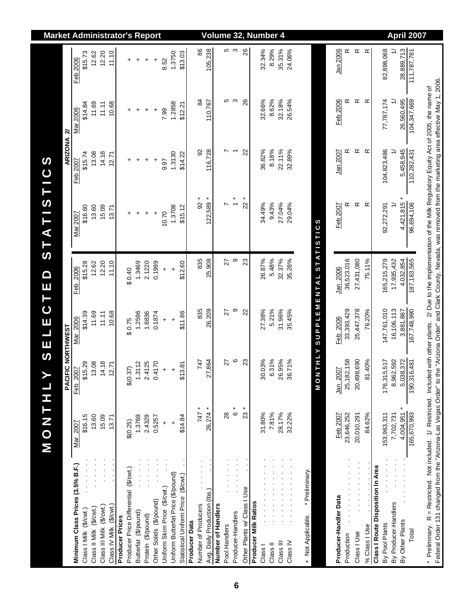| 835<br>თ<br>23<br>26.87%<br>5.48%<br>32.37%<br>25,908<br>27<br>12.20<br>1.3469<br>2.1220<br>\$15.28<br>12.62<br>11.10<br>0.1999<br>\$12.60<br>Feb 2006<br>0.40<br>$\ddot{}$<br>$\ddot{}$<br>თ<br>27.38%<br>5.21%<br>31.96%<br>835<br>26,209<br>$_{\rm 22}$<br>27<br>11.69<br>\$14.39<br>11.11<br>12596<br>1.8836<br>0.1874<br>10.68<br>\$11.86<br>Mar 2006<br>$\ddot{}$<br>$\ddot{}$<br>\$0.75<br>$\circ$<br>30.03%<br>26.95%<br>23<br>31%<br>27,864<br>747<br>27<br>0.4170<br>4.18<br>2.4125<br>\$15.29<br>13.08<br>1.3112<br>2.71<br>\$13.81<br>\$(0.37)<br>$\ddot{}$<br>Feb 2007<br>$\ddot{}$<br>$\circ$<br>$23 *$<br>26,274 *<br>$\overset{*}{\circ}$<br>747<br>28.17%<br>31.80%<br>7.81%<br>28<br>15.09<br>13.60<br>2.4329<br>\$16.15<br>1.3769<br>\$14.84<br>13.71<br>0.5257<br>\$(0.25)<br>Mar 2007<br>$\ddot{}$<br>$\ddot{\phantom{1}}$<br>Minimum Class Prices (3.5% B.F.)<br>Producer Price Differential (\$/cwt.)<br>Uniform Butterfat Price (\$/pound)<br>Statistical Uniform Price (\$/cwt.)<br>Uniform Skim Price (\$/cwt.) | $122,589 *$<br>$\ddot{\cdot}$<br>$2^{*}$<br>$\frac{1}{2}$<br>r<br>15.09<br>\$16.60<br>13.60<br>1.3708<br>\$15.12<br>13.71<br>10.70<br><b>Mar 2007</b><br>$\ddot{}$<br>$\ddot{}$<br>$\ddot{}$<br>+ | 92<br>116,728<br>$\overline{ }$<br>14.18<br>1.3130<br>\$15.74<br>13.08<br>\$14.22<br>12.71<br>Feb 2007<br>$\ddot{}$<br>+<br>$\ddot{}$<br>$\ddot{}$<br>9.97 | 11.69<br>1.2858<br>\$14.84<br>11.11<br>10.68<br>\$12.21<br>7.99<br><b>Mar 2006</b><br>$\ddot{}$<br>$\ddot{}$<br>$\ddot{}$<br>+ | 12.20<br>11.10<br>\$15.73<br>12.62<br>1.3750<br>Feb 2006<br>$\ddot{}$<br>$\ddot{}$<br>8.52<br>+<br>+ |
|-------------------------------------------------------------------------------------------------------------------------------------------------------------------------------------------------------------------------------------------------------------------------------------------------------------------------------------------------------------------------------------------------------------------------------------------------------------------------------------------------------------------------------------------------------------------------------------------------------------------------------------------------------------------------------------------------------------------------------------------------------------------------------------------------------------------------------------------------------------------------------------------------------------------------------------------------------------------------------------------------------------------------------------------|---------------------------------------------------------------------------------------------------------------------------------------------------------------------------------------------------|------------------------------------------------------------------------------------------------------------------------------------------------------------|--------------------------------------------------------------------------------------------------------------------------------|------------------------------------------------------------------------------------------------------|
|                                                                                                                                                                                                                                                                                                                                                                                                                                                                                                                                                                                                                                                                                                                                                                                                                                                                                                                                                                                                                                           |                                                                                                                                                                                                   |                                                                                                                                                            |                                                                                                                                |                                                                                                      |
|                                                                                                                                                                                                                                                                                                                                                                                                                                                                                                                                                                                                                                                                                                                                                                                                                                                                                                                                                                                                                                           |                                                                                                                                                                                                   |                                                                                                                                                            |                                                                                                                                |                                                                                                      |
|                                                                                                                                                                                                                                                                                                                                                                                                                                                                                                                                                                                                                                                                                                                                                                                                                                                                                                                                                                                                                                           |                                                                                                                                                                                                   |                                                                                                                                                            |                                                                                                                                |                                                                                                      |
|                                                                                                                                                                                                                                                                                                                                                                                                                                                                                                                                                                                                                                                                                                                                                                                                                                                                                                                                                                                                                                           |                                                                                                                                                                                                   |                                                                                                                                                            |                                                                                                                                |                                                                                                      |
|                                                                                                                                                                                                                                                                                                                                                                                                                                                                                                                                                                                                                                                                                                                                                                                                                                                                                                                                                                                                                                           |                                                                                                                                                                                                   |                                                                                                                                                            |                                                                                                                                |                                                                                                      |
|                                                                                                                                                                                                                                                                                                                                                                                                                                                                                                                                                                                                                                                                                                                                                                                                                                                                                                                                                                                                                                           |                                                                                                                                                                                                   |                                                                                                                                                            |                                                                                                                                |                                                                                                      |
|                                                                                                                                                                                                                                                                                                                                                                                                                                                                                                                                                                                                                                                                                                                                                                                                                                                                                                                                                                                                                                           |                                                                                                                                                                                                   |                                                                                                                                                            |                                                                                                                                |                                                                                                      |
|                                                                                                                                                                                                                                                                                                                                                                                                                                                                                                                                                                                                                                                                                                                                                                                                                                                                                                                                                                                                                                           |                                                                                                                                                                                                   |                                                                                                                                                            |                                                                                                                                |                                                                                                      |
|                                                                                                                                                                                                                                                                                                                                                                                                                                                                                                                                                                                                                                                                                                                                                                                                                                                                                                                                                                                                                                           |                                                                                                                                                                                                   |                                                                                                                                                            |                                                                                                                                |                                                                                                      |
|                                                                                                                                                                                                                                                                                                                                                                                                                                                                                                                                                                                                                                                                                                                                                                                                                                                                                                                                                                                                                                           |                                                                                                                                                                                                   |                                                                                                                                                            |                                                                                                                                |                                                                                                      |
|                                                                                                                                                                                                                                                                                                                                                                                                                                                                                                                                                                                                                                                                                                                                                                                                                                                                                                                                                                                                                                           |                                                                                                                                                                                                   |                                                                                                                                                            |                                                                                                                                |                                                                                                      |
|                                                                                                                                                                                                                                                                                                                                                                                                                                                                                                                                                                                                                                                                                                                                                                                                                                                                                                                                                                                                                                           |                                                                                                                                                                                                   |                                                                                                                                                            |                                                                                                                                | \$13.03                                                                                              |
|                                                                                                                                                                                                                                                                                                                                                                                                                                                                                                                                                                                                                                                                                                                                                                                                                                                                                                                                                                                                                                           |                                                                                                                                                                                                   |                                                                                                                                                            |                                                                                                                                |                                                                                                      |
|                                                                                                                                                                                                                                                                                                                                                                                                                                                                                                                                                                                                                                                                                                                                                                                                                                                                                                                                                                                                                                           |                                                                                                                                                                                                   |                                                                                                                                                            | 84                                                                                                                             | 86                                                                                                   |
|                                                                                                                                                                                                                                                                                                                                                                                                                                                                                                                                                                                                                                                                                                                                                                                                                                                                                                                                                                                                                                           |                                                                                                                                                                                                   |                                                                                                                                                            | 110,767                                                                                                                        | 105,238                                                                                              |
|                                                                                                                                                                                                                                                                                                                                                                                                                                                                                                                                                                                                                                                                                                                                                                                                                                                                                                                                                                                                                                           |                                                                                                                                                                                                   |                                                                                                                                                            |                                                                                                                                |                                                                                                      |
|                                                                                                                                                                                                                                                                                                                                                                                                                                                                                                                                                                                                                                                                                                                                                                                                                                                                                                                                                                                                                                           |                                                                                                                                                                                                   |                                                                                                                                                            | Ю                                                                                                                              |                                                                                                      |
|                                                                                                                                                                                                                                                                                                                                                                                                                                                                                                                                                                                                                                                                                                                                                                                                                                                                                                                                                                                                                                           |                                                                                                                                                                                                   |                                                                                                                                                            | ო                                                                                                                              | ნ დ                                                                                                  |
|                                                                                                                                                                                                                                                                                                                                                                                                                                                                                                                                                                                                                                                                                                                                                                                                                                                                                                                                                                                                                                           |                                                                                                                                                                                                   | $\mathbf{z}$                                                                                                                                               | 26                                                                                                                             | 26                                                                                                   |
|                                                                                                                                                                                                                                                                                                                                                                                                                                                                                                                                                                                                                                                                                                                                                                                                                                                                                                                                                                                                                                           |                                                                                                                                                                                                   |                                                                                                                                                            |                                                                                                                                |                                                                                                      |
|                                                                                                                                                                                                                                                                                                                                                                                                                                                                                                                                                                                                                                                                                                                                                                                                                                                                                                                                                                                                                                           | 34.49%                                                                                                                                                                                            | 36.82%                                                                                                                                                     | 32.66%                                                                                                                         | 32.34%                                                                                               |
|                                                                                                                                                                                                                                                                                                                                                                                                                                                                                                                                                                                                                                                                                                                                                                                                                                                                                                                                                                                                                                           | 9.43%                                                                                                                                                                                             | 8.18%                                                                                                                                                      | 8.62%                                                                                                                          | 8.29%                                                                                                |
|                                                                                                                                                                                                                                                                                                                                                                                                                                                                                                                                                                                                                                                                                                                                                                                                                                                                                                                                                                                                                                           | 27.04%                                                                                                                                                                                            | 22.11%                                                                                                                                                     | 32.18%                                                                                                                         | 35.31%                                                                                               |
| 35.28%<br>35.45%<br>.71%<br>8<br>32.22%                                                                                                                                                                                                                                                                                                                                                                                                                                                                                                                                                                                                                                                                                                                                                                                                                                                                                                                                                                                                   | 29.04%                                                                                                                                                                                            | 32.89%                                                                                                                                                     | 26.54%                                                                                                                         | 24.06%                                                                                               |
| + Not Applicable. * Preliminary.                                                                                                                                                                                                                                                                                                                                                                                                                                                                                                                                                                                                                                                                                                                                                                                                                                                                                                                                                                                                          |                                                                                                                                                                                                   |                                                                                                                                                            |                                                                                                                                |                                                                                                      |
| THLY SUPPLEMENTAL STATISTICS<br>N O N                                                                                                                                                                                                                                                                                                                                                                                                                                                                                                                                                                                                                                                                                                                                                                                                                                                                                                                                                                                                     |                                                                                                                                                                                                   |                                                                                                                                                            |                                                                                                                                |                                                                                                      |
|                                                                                                                                                                                                                                                                                                                                                                                                                                                                                                                                                                                                                                                                                                                                                                                                                                                                                                                                                                                                                                           |                                                                                                                                                                                                   |                                                                                                                                                            |                                                                                                                                |                                                                                                      |
| Jan 2006<br>Feb 2006<br>Jan 2007<br>Feb 2007                                                                                                                                                                                                                                                                                                                                                                                                                                                                                                                                                                                                                                                                                                                                                                                                                                                                                                                                                                                              | Feb 2007                                                                                                                                                                                          | Jan 2007                                                                                                                                                   | Feb 2006                                                                                                                       | Jan 2006                                                                                             |
| 36,523,016<br>33,393,429<br>25,182,158<br>23,646,252                                                                                                                                                                                                                                                                                                                                                                                                                                                                                                                                                                                                                                                                                                                                                                                                                                                                                                                                                                                      | œ                                                                                                                                                                                                 | œ                                                                                                                                                          | œ                                                                                                                              | œ                                                                                                    |
| 27,431,080<br>25,447,378<br>20,498,690<br>20,010,291                                                                                                                                                                                                                                                                                                                                                                                                                                                                                                                                                                                                                                                                                                                                                                                                                                                                                                                                                                                      | œ                                                                                                                                                                                                 | $\propto$                                                                                                                                                  | $\propto$                                                                                                                      | $\propto$                                                                                            |
| 75.11%<br>76.20%<br>40%<br>$\frac{1}{8}$<br>84.62%                                                                                                                                                                                                                                                                                                                                                                                                                                                                                                                                                                                                                                                                                                                                                                                                                                                                                                                                                                                        | $\propto$                                                                                                                                                                                         | $\alpha$                                                                                                                                                   | $\alpha$                                                                                                                       | $\propto$                                                                                            |
| Class I Route Disposition In Area                                                                                                                                                                                                                                                                                                                                                                                                                                                                                                                                                                                                                                                                                                                                                                                                                                                                                                                                                                                                         |                                                                                                                                                                                                   |                                                                                                                                                            |                                                                                                                                |                                                                                                      |
| 165,215,279<br>147,761,010<br>176,315,517<br>153,963,311<br>$\begin{bmatrix} 1 \\ 1 \\ 1 \end{bmatrix}$                                                                                                                                                                                                                                                                                                                                                                                                                                                                                                                                                                                                                                                                                                                                                                                                                                                                                                                                   | 92,272,291                                                                                                                                                                                        | 104,823,486                                                                                                                                                | 77,787,174                                                                                                                     | 82,898,068                                                                                           |
| 17,935,432<br>16,106,113<br>8,962,592<br>7,702,731                                                                                                                                                                                                                                                                                                                                                                                                                                                                                                                                                                                                                                                                                                                                                                                                                                                                                                                                                                                        | $\geq$                                                                                                                                                                                            |                                                                                                                                                            | $\geq$                                                                                                                         | ≓                                                                                                    |
| 4,032,854<br>3,881,867<br>5,038,372<br>4,004,951                                                                                                                                                                                                                                                                                                                                                                                                                                                                                                                                                                                                                                                                                                                                                                                                                                                                                                                                                                                          | 4,421,815 *                                                                                                                                                                                       | 5,458,945                                                                                                                                                  | 26,560,495                                                                                                                     | 28,889,713                                                                                           |
| 187, 183, 565<br>167,748,990<br>190,316,481<br>165,670,993                                                                                                                                                                                                                                                                                                                                                                                                                                                                                                                                                                                                                                                                                                                                                                                                                                                                                                                                                                                | 96,694,106                                                                                                                                                                                        | 110,282,431                                                                                                                                                | 104,347,669                                                                                                                    | 111,787,781                                                                                          |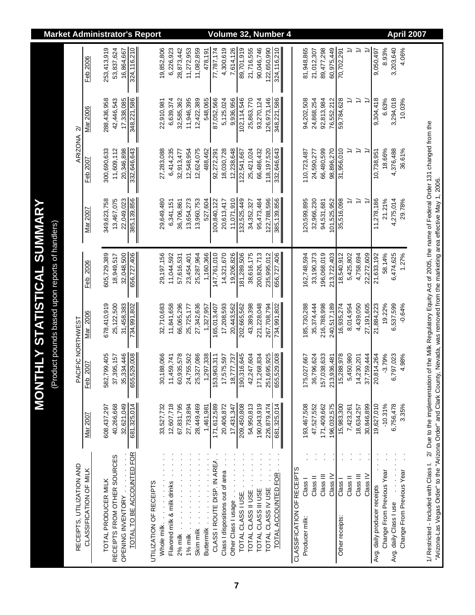|                                                                                   |                           |                        |                     |                             |                                                | <b>Market Administrator's Report</b> |              |                             |                     |                  |            |                   |                             |                                  |                     |                    |                    |                     |                    | <b>Volume 32. Number 4</b> |                            |                           |                             |                     |                           |                     |               |                           |                              |                           |                        |                           | <b>April 2007</b> |                                                                                           |                                                                                                                                       |
|-----------------------------------------------------------------------------------|---------------------------|------------------------|---------------------|-----------------------------|------------------------------------------------|--------------------------------------|--------------|-----------------------------|---------------------|------------------|------------|-------------------|-----------------------------|----------------------------------|---------------------|--------------------|--------------------|---------------------|--------------------|----------------------------|----------------------------|---------------------------|-----------------------------|---------------------|---------------------------|---------------------|---------------|---------------------------|------------------------------|---------------------------|------------------------|---------------------------|-------------------|-------------------------------------------------------------------------------------------|---------------------------------------------------------------------------------------------------------------------------------------|
|                                                                                   |                           | Feb 2006               | 253,413,919         | 53,837,624                  | 324,116,210<br>16,864,667                      |                                      | 19,852,806   | 6,226,923                   | 28,873,442          | 11,272,953       | 11,082,859 | 478.191           | 77,787,174                  | 4,300,619                        | 7,614,126           | 89,701,919         | 21,716,555         | 90,046,746          | 122,650,990        | 324,116,210                |                            | 81,948,865                | 89,477,298<br>21,012,307    | 60,975,449          | 70,702,291                |                     | ≓             |                           | 9,050,497                    | 8.93%                     | 3,203,640              | 4.06%                     |                   |                                                                                           |                                                                                                                                       |
|                                                                                   |                           | Mar 2006               | 288,436,958         | 42,446,543                  | 17,338,085<br>348,221,586                      |                                      | 22,910,981   | 6,639,374                   | 32,585,362          | 11,946,395       | 12,422,389 | 548,065           | 87,052,566                  | 5,125,024                        | 9,936,956           | 102,114,546        | 25,863,770         | 93,270,124          | 126,973,146        | 348,221,586                |                            | 94,202,508                | 24,868,254<br>92,813,984    | 76,552,212          | 59,784,628                | $\geq$              | $\geq$        | $\geq$                    | 9,304,418                    | 6.63%                     | 3,294,018              | 10.03%                    |                   |                                                                                           |                                                                                                                                       |
|                                                                                   | ARIZONA <sub>2</sub>      | Feb 2007               | 300,690,633         | 11,609,112                  | 20,346,898<br>332,646,643                      |                                      | 27,283,088   | 6,414,235                   | 32,913,477          | 12,548,954       | 12,624,075 | 488,462           | 92,272,291                  | 18,030,728                       | 12,238,648          | 122,541,667        | 25,421,024         | 66,486,432          | 118, 197, 520      | 332,646,643                |                            | 110,723,487               | 66,480,599<br>24,590,277    | 98,896,270          | 31,956,010                | ₹                   | $\Rightarrow$ | $\tilde{t}$               | 10,738,951                   | 18.66%                    | 4,376,488              | 36.61%                    |                   |                                                                                           |                                                                                                                                       |
|                                                                                   |                           | Mar 2007               | 349,623,758         | 13,467,075                  | 22,049,023<br>385,139,856                      |                                      | 29,649,480   | 6,341,151                   | 36,706,861          | 13,654,273       | 13,960,753 | 527,604           | 100,840,122                 | 20,613,417                       | 11,071,910          | 132,525,449        | 34,352,327         | 95,473,484          | 122,788,596        | 385, 139, 856              |                            | 120,599,895               | 32,966,230<br>94,531,681    | 101,525,952         | 35,516,098                | $\cong$             | $\Rightarrow$ | $\widetilde{\phantom{0}}$ | 11,278,186                   | 21.21%                    | 4,275,014              | 29.78%                    |                   | of the Milk Regulatory Equity Act of 2005, the name of Federal Order 131 changed from the |                                                                                                                                       |
| <b>HLY STATISTICAL SUMMARY</b><br>(Product pounds based upon reports of handlers) |                           | Feb 2006               | 605,729,389         | 18,949,517                  | 656,727,406<br>32,048,500                      |                                      | 29, 197, 156 | 11,044,592                  | 57,616,531          | 23,454,401       | 25,287,964 | 1,160,366         | 147,761,010                 | 14,321,670                       | 19,206,826          | 181,289,506        | 38,616,175         | 200,826,713         | 235,995,012        | 656,727,406                |                            | 162,748,594               | 33, 190, 373<br>196,068,019 | 213,722,403         | 18,540,912                | 5,425,802           | 4,758,694     | 22,272,609                | 21,633,192                   | 58.14%                    | 6,474,625              | 1.27%                     |                   |                                                                                           |                                                                                                                                       |
|                                                                                   |                           | Mar 2006               | 678,410,919         | 25,122,500                  | 31,458,383<br>734,991,802                      |                                      | 32,710,683   | 11,841,658                  | 66,065,296          | 25,725,177       | 27,342,636 | 1,327,957         | 165,013,407                 | 17,208,593                       | 20,443,562          | 202,665,562        | 43,389,398         | 221,228,048         | 267,708,794        | 734,991,802                |                            | 185,730,288               | 216,788,998<br>35,374,444   | 240,517,189         | 16,935,274                | 8,014,954           | 4,439,050     | 27,191,605                | 21,884,223                   | 19.22%                    | 6,537,599              | $-0.64%$                  |                   |                                                                                           |                                                                                                                                       |
| <b>TNOM</b>                                                                       | PACIFIC NORTHWEST         | 2007<br>Feb            | 582,799,405         | 37,395,157                  | 35,334,446<br>655,529,008                      |                                      | 30,188,066   | 11,459,741                  | 60,935,578          | 24,755,502       | 25,327,086 | 1,297,338         | 153,963,311                 | 17,575,597                       | 18,777,737          | 190,316,645        | 42,247,604         | 171,268,834         | 251,695,925        | 655,529,008                |                            | 175,027,667               | 36,796,624<br>157,038,633   | 213,936,481         | 15,288,978                | 5,450,980           | 14,230,201    | 37,759,444                | 20,814,264                   | $-3.79%$                  | 6,797,023              | 4.98%                     |                   |                                                                                           |                                                                                                                                       |
|                                                                                   |                           | Mar 2007               | 608,437,297         | 40,266,668                  | 681,325,014<br>32,621,049                      |                                      | 33,527,732   | 12,607,718                  | 67,831,795          | 27,733,894       | 28,449,469 | 1,461,981         | 171, 612, 589               | 20,406,872                       | 17,431,347          | 209,450,808        | 54,950,813         | 190,043,919         | 226,879,474        | 681,325,014                |                            | 193,467,508               | 47,527,552<br>171,409,662   | 196,032,575         | 15,983,300                | 7,423,261           | 18,634,257    | 30,846,899                | 19,627,010                   | $-10.31%$                 | 6,756,478              | 3.35%                     |                   |                                                                                           |                                                                                                                                       |
|                                                                                   | RECEIPTS, UTILIZATION AND | CLASSIFICATION OF MILK | TOTAL PRODUCER MILK | RECEIPTS FROM OTHER SOURCES | TOTAL TO BE ACCOUNTED FOR<br>OPENING INVENTORY | UTILIZATION OF RECEIPTS              | Whole milk.  | Flavored milk & milk drinks | $2\%$ milk $\ldots$ | 1% milk $\ldots$ | Skim milk  | <b>Buttermilk</b> | CLASS I ROUTE DISP. IN AREA | Class I dispositions out of area | Other Class I usage | TOTAL CLASS I USE. | TOTAL CLASS II USE | TOTAL CLASS III USE | TOTAL CLASS IV USE | TOTAL ACCOUNTED FOR        | CLASSIFICATION OF RECEIPTS | Class I<br>Producer milk: | Class III<br>Class II       | Class <sub>IV</sub> | Class I<br>Other receipts | Class <sup>II</sup> | Class III     | Class <sub>IV</sub>       | Avg. daily producer receipts | Change From Previous Year | Avg. daily Class I use | Change From Previous Year |                   | 1/ Restricted - Included with Class I. 2/ Due to the implementation                       | "Arizona-Las Vegas Order" to the "Arizona Order" and Clark County, Nevada, was removed from the marketing area effective May 1, 2006. |